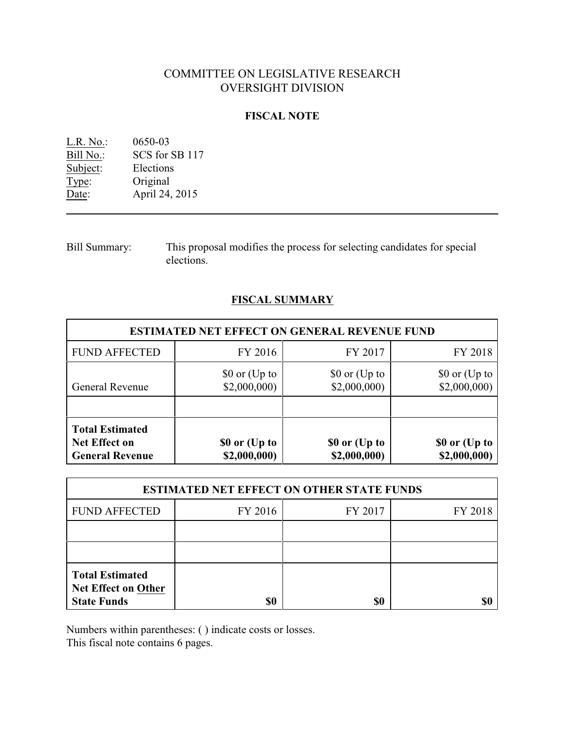# COMMITTEE ON LEGISLATIVE RESEARCH OVERSIGHT DIVISION

#### **FISCAL NOTE**

| L.R. No.: | 0650-03        |
|-----------|----------------|
| Bill No.: | SCS for SB 117 |
| Subject:  | Elections      |
| Type:     | Original       |
| Date:     | April 24, 2015 |

Bill Summary: This proposal modifies the process for selecting candidates for special elections.

## **FISCAL SUMMARY**

| <b>ESTIMATED NET EFFECT ON GENERAL REVENUE FUND</b>                      |                                                |                               |                               |  |  |
|--------------------------------------------------------------------------|------------------------------------------------|-------------------------------|-------------------------------|--|--|
| <b>FUND AFFECTED</b>                                                     | FY 2016                                        | FY 2017                       | FY 2018                       |  |  |
| <b>General Revenue</b>                                                   | $$0 \text{ or } (\text{Up to})$<br>\$2,000,000 | \$0 or (Up to<br>\$2,000,000  | \$0 or (Up to<br>\$2,000,000  |  |  |
| <b>Total Estimated</b><br><b>Net Effect on</b><br><b>General Revenue</b> | \$0 or (Up to<br>\$2,000,000)                  | \$0 or (Up to<br>\$2,000,000) | \$0 or (Up to<br>\$2,000,000) |  |  |

| <b>ESTIMATED NET EFFECT ON OTHER STATE FUNDS</b>                           |         |         |         |  |
|----------------------------------------------------------------------------|---------|---------|---------|--|
| <b>FUND AFFECTED</b>                                                       | FY 2016 | FY 2017 | FY 2018 |  |
|                                                                            |         |         |         |  |
|                                                                            |         |         |         |  |
| <b>Total Estimated</b><br><b>Net Effect on Other</b><br><b>State Funds</b> | \$0     | \$0     |         |  |

Numbers within parentheses: ( ) indicate costs or losses.

This fiscal note contains 6 pages.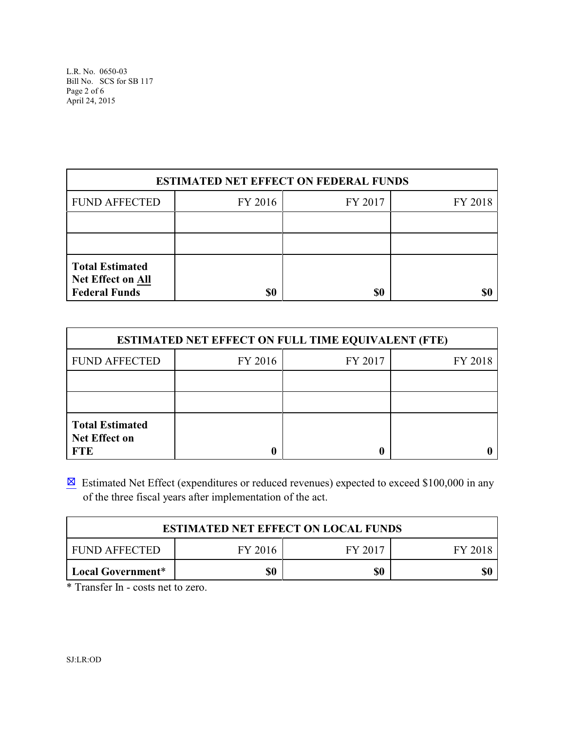L.R. No. 0650-03 Bill No. SCS for SB 117 Page 2 of 6 April 24, 2015

| <b>ESTIMATED NET EFFECT ON FEDERAL FUNDS</b>                               |         |         |         |  |
|----------------------------------------------------------------------------|---------|---------|---------|--|
| <b>FUND AFFECTED</b>                                                       | FY 2016 | FY 2017 | FY 2018 |  |
|                                                                            |         |         |         |  |
|                                                                            |         |         |         |  |
| <b>Total Estimated</b><br><b>Net Effect on All</b><br><b>Federal Funds</b> | \$0     | \$0     |         |  |

| <b>ESTIMATED NET EFFECT ON FULL TIME EQUIVALENT (FTE)</b>    |         |         |         |  |
|--------------------------------------------------------------|---------|---------|---------|--|
| <b>FUND AFFECTED</b>                                         | FY 2016 | FY 2017 | FY 2018 |  |
|                                                              |         |         |         |  |
|                                                              |         |         |         |  |
| <b>Total Estimated</b><br><b>Net Effect on</b><br><b>FTE</b> |         |         |         |  |

 $\boxtimes$  Estimated Net Effect (expenditures or reduced revenues) expected to exceed \$100,000 in any of the three fiscal years after implementation of the act.

| <b>ESTIMATED NET EFFECT ON LOCAL FUNDS</b> |         |         |  |  |
|--------------------------------------------|---------|---------|--|--|
| <b>FUND AFFECTED</b>                       | FY 2017 | FY 2018 |  |  |
| Local Government*                          | \$0     | \$0     |  |  |

\* Transfer In - costs net to zero.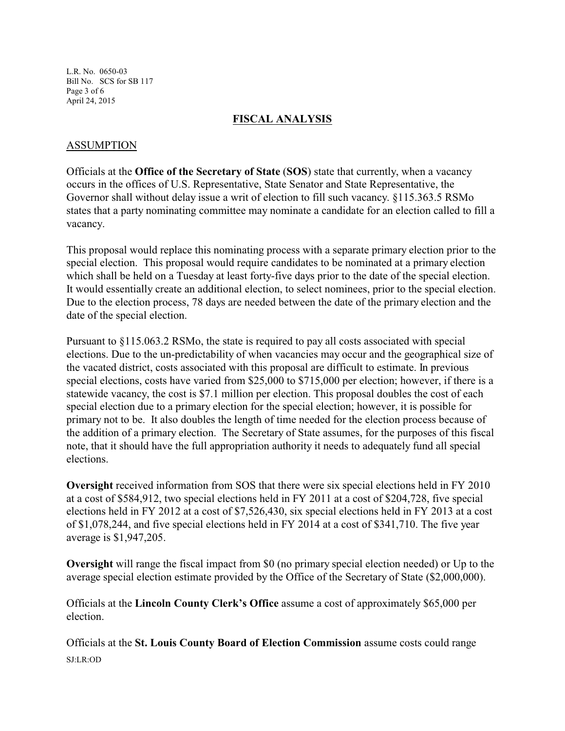L.R. No. 0650-03 Bill No. SCS for SB 117 Page 3 of 6 April 24, 2015

### **FISCAL ANALYSIS**

### ASSUMPTION

Officials at the **Office of the Secretary of State** (**SOS**) state that currently, when a vacancy occurs in the offices of U.S. Representative, State Senator and State Representative, the Governor shall without delay issue a writ of election to fill such vacancy. §115.363.5 RSMo states that a party nominating committee may nominate a candidate for an election called to fill a vacancy.

This proposal would replace this nominating process with a separate primary election prior to the special election. This proposal would require candidates to be nominated at a primary election which shall be held on a Tuesday at least forty-five days prior to the date of the special election. It would essentially create an additional election, to select nominees, prior to the special election. Due to the election process, 78 days are needed between the date of the primary election and the date of the special election.

Pursuant to §115.063.2 RSMo, the state is required to pay all costs associated with special elections. Due to the un-predictability of when vacancies may occur and the geographical size of the vacated district, costs associated with this proposal are difficult to estimate. In previous special elections, costs have varied from \$25,000 to \$715,000 per election; however, if there is a statewide vacancy, the cost is \$7.1 million per election. This proposal doubles the cost of each special election due to a primary election for the special election; however, it is possible for primary not to be. It also doubles the length of time needed for the election process because of the addition of a primary election. The Secretary of State assumes, for the purposes of this fiscal note, that it should have the full appropriation authority it needs to adequately fund all special elections.

**Oversight** received information from SOS that there were six special elections held in FY 2010 at a cost of \$584,912, two special elections held in FY 2011 at a cost of \$204,728, five special elections held in FY 2012 at a cost of \$7,526,430, six special elections held in FY 2013 at a cost of \$1,078,244, and five special elections held in FY 2014 at a cost of \$341,710. The five year average is \$1,947,205.

**Oversight** will range the fiscal impact from \$0 (no primary special election needed) or Up to the average special election estimate provided by the Office of the Secretary of State (\$2,000,000).

Officials at the **Lincoln County Clerk's Office** assume a cost of approximately \$65,000 per election.

Officials at the **St. Louis County Board of Election Commission** assume costs could range SJ:LR:OD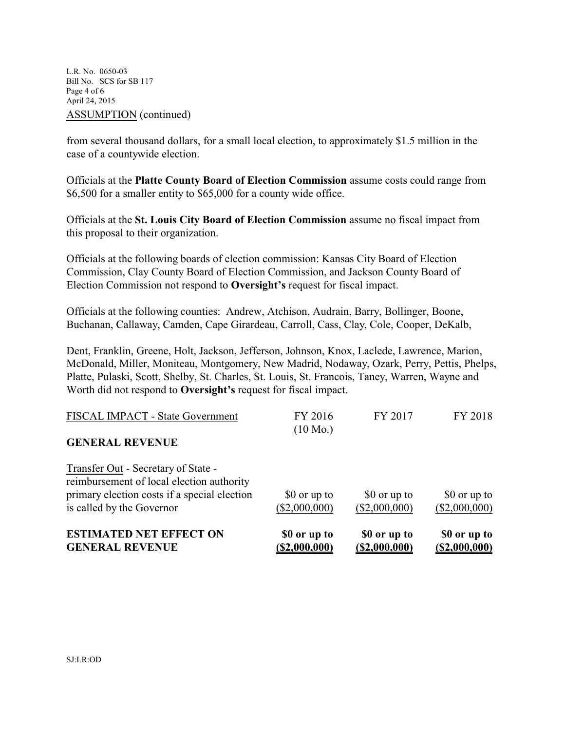L.R. No. 0650-03 Bill No. SCS for SB 117 Page 4 of 6 April 24, 2015 ASSUMPTION (continued)

from several thousand dollars, for a small local election, to approximately \$1.5 million in the case of a countywide election.

Officials at the **Platte County Board of Election Commission** assume costs could range from \$6,500 for a smaller entity to \$65,000 for a county wide office.

Officials at the **St. Louis City Board of Election Commission** assume no fiscal impact from this proposal to their organization.

Officials at the following boards of election commission: Kansas City Board of Election Commission, Clay County Board of Election Commission, and Jackson County Board of Election Commission not respond to **Oversight's** request for fiscal impact.

Officials at the following counties: Andrew, Atchison, Audrain, Barry, Bollinger, Boone, Buchanan, Callaway, Camden, Cape Girardeau, Carroll, Cass, Clay, Cole, Cooper, DeKalb,

Dent, Franklin, Greene, Holt, Jackson, Jefferson, Johnson, Knox, Laclede, Lawrence, Marion, McDonald, Miller, Moniteau, Montgomery, New Madrid, Nodaway, Ozark, Perry, Pettis, Phelps, Platte, Pulaski, Scott, Shelby, St. Charles, St. Louis, St. Francois, Taney, Warren, Wayne and Worth did not respond to **Oversight's** request for fiscal impact.

| <b>ESTIMATED NET EFFECT ON</b><br><b>GENERAL REVENUE</b>                                                                                                      | \$0 or up to<br>(S2,000,000)  | \$0 or up to<br>(S2,000,000)  | \$0 or up to<br>(\$2,000,000) |
|---------------------------------------------------------------------------------------------------------------------------------------------------------------|-------------------------------|-------------------------------|-------------------------------|
| Transfer Out - Secretary of State -<br>reimbursement of local election authority<br>primary election costs if a special election<br>is called by the Governor | \$0 or up to<br>(\$2,000,000) | \$0 or up to<br>(\$2,000,000) | \$0 or up to<br>(\$2,000,000) |
| <b>GENERAL REVENUE</b>                                                                                                                                        | $(10 \text{ Mo.})$            |                               |                               |
| FISCAL IMPACT - State Government                                                                                                                              | FY 2016                       | FY 2017                       | FY 2018                       |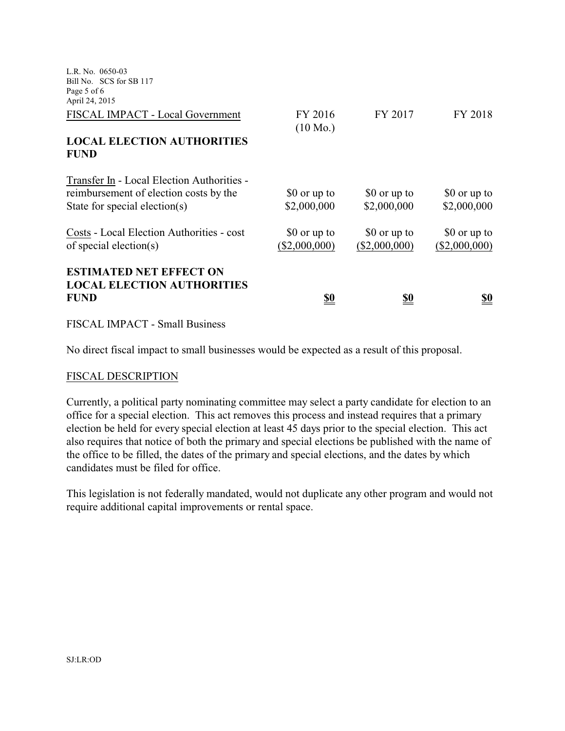| L.R. No. 0650-03<br>Bill No. SCS for SB 117                                                                           |                               |                               |                               |
|-----------------------------------------------------------------------------------------------------------------------|-------------------------------|-------------------------------|-------------------------------|
| Page 5 of 6<br>April 24, 2015                                                                                         |                               |                               |                               |
| FISCAL IMPACT - Local Government                                                                                      | FY 2016<br>$(10 \text{ Mo.})$ | FY 2017                       | FY 2018                       |
| <b>LOCAL ELECTION AUTHORITIES</b><br><b>FUND</b>                                                                      |                               |                               |                               |
| Transfer In - Local Election Authorities -<br>reimbursement of election costs by the<br>State for special election(s) | \$0 or up to<br>\$2,000,000   | \$0 or up to<br>\$2,000,000   | \$0 or up to<br>\$2,000,000   |
| Costs - Local Election Authorities - cost<br>of special election(s)                                                   | \$0 or up to<br>(\$2,000,000) | \$0 or up to<br>(\$2,000,000) | \$0 or up to<br>(\$2,000,000) |
| <b>ESTIMATED NET EFFECT ON</b><br><b>LOCAL ELECTION AUTHORITIES</b><br><b>FUND</b>                                    | <u>so</u>                     | <u>\$0</u>                    | <u>so</u>                     |

FISCAL IMPACT - Small Business

No direct fiscal impact to small businesses would be expected as a result of this proposal.

#### FISCAL DESCRIPTION

Currently, a political party nominating committee may select a party candidate for election to an office for a special election. This act removes this process and instead requires that a primary election be held for every special election at least 45 days prior to the special election. This act also requires that notice of both the primary and special elections be published with the name of the office to be filled, the dates of the primary and special elections, and the dates by which candidates must be filed for office.

This legislation is not federally mandated, would not duplicate any other program and would not require additional capital improvements or rental space.